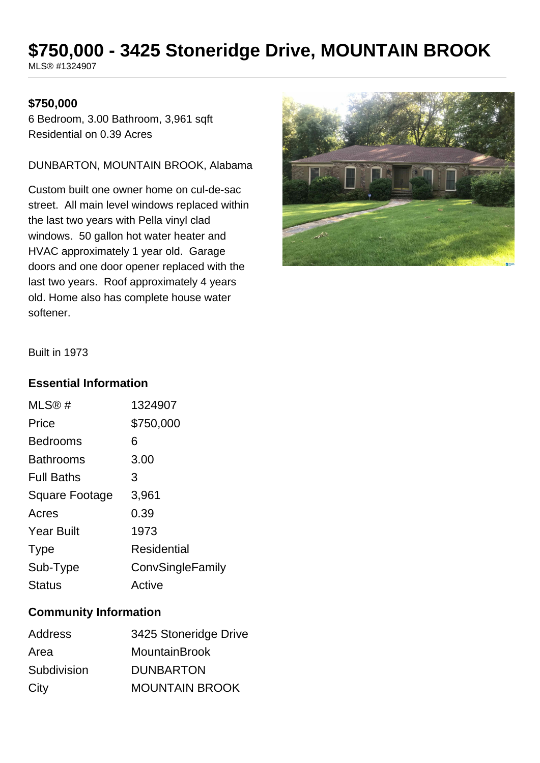# **\$750,000 - 3425 Stoneridge Drive, MOUNTAIN BROOK**

MLS® #1324907

#### **\$750,000**

6 Bedroom, 3.00 Bathroom, 3,961 sqft Residential on 0.39 Acres

DUNBARTON, MOUNTAIN BROOK, Alabama

Custom built one owner home on cul-de-sac street. All main level windows replaced within the last two years with Pella vinyl clad windows. 50 gallon hot water heater and HVAC approximately 1 year old. Garage doors and one door opener replaced with the last two years. Roof approximately 4 years old. Home also has complete house water softener.



Built in 1973

#### **Essential Information**

| 1324907          |
|------------------|
| \$750,000        |
| 6                |
| 3.00             |
| 3                |
| 3,961            |
| 0.39             |
| 1973             |
| Residential      |
| ConvSingleFamily |
| Active           |
|                  |

### **Community Information**

| <b>Address</b> | 3425 Stoneridge Drive |
|----------------|-----------------------|
| Area           | <b>MountainBrook</b>  |
| Subdivision    | <b>DUNBARTON</b>      |
| City           | <b>MOUNTAIN BROOK</b> |